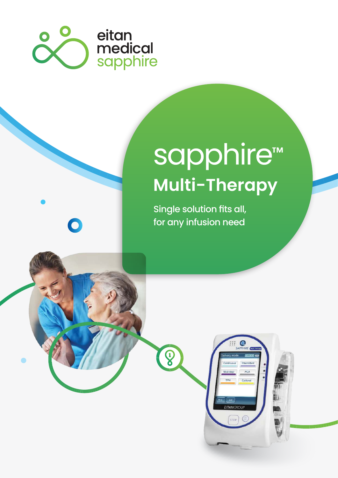

 $\bullet$ 

# sapphire™ **Multi-Therapy**

 $\bullet$ 

PCA Epidural

Single solution fits all, for any infusion need

 $\bigcirc$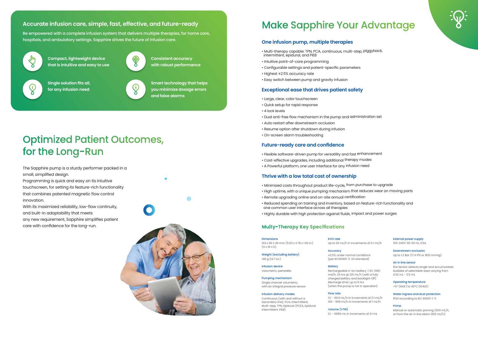The Sapphire pump is a sturdy performer packed in a small, simplified design.

Programming is quick and easy on its intuitive touchscreen, for setting its feature-rich functionality that combines patented magnetic flow control innovation.

With its maximized reliability, low-flow continuity, and built-in adaptability that meets any new requirement, Sapphire simplifies patient care with confidence for the long-run.



### **Make Sapphire Your Advantage**

#### **One infusion pump, multiple therapies**

- Multi-therapy capable: TPN, PCA, continuous, multi-step, piggyback, intermittent, epidural, and PIEB
- Intuitive point-of-care programming
- Configurable settings and patient-specific parameters
- Highest ±2.5% accuracy rate
- Easy switch between pump and gravity infusion

#### **Exceptional ease that drives patient safety**

- Large, clear, color touchscreen
- Quick setup for rapid response
- 4 lock levels
- Dual anti-free flow mechanism in the pump and administration set
- Auto restart after downstream occlusion
- Resume option after shutdown during infusion
- On-screen alarm troubleshooting

#### **Future-ready care and confidence**

143 x 96 x 49 mm (5.63 x 3.78 x 1.93 in.)  $(H \times W \times D)$ 

- Flexible software-driven pump for versatility and fast enhancement
- Cost-effective upgrades, including additional therapy modes
- A Powerful platform, one user interface for any infusion need

#### **Thrive with a low total cost of ownership**

- Minimized costs throughout product life-cycle, from purchase to upgrade
- High uptime, with a unique pumping mechanism that reduces wear on moving parts
- Remote upgrading online and on-site annual certification
- Reduced spending on training and inventory, based on feature-rich functionality and one common user interface across all therapies
- Highly durable with high protection against fluids, impact and power surges

#### **Multy-Therapy Key Specifications**

#### **Accurate infusion care, simple, fast, effective, and future-ready**

Be empowered with a complete infusion system that delivers multiple therapies, for home care, hospitals, and ambulatory settings. Sapphire drives the future of infusion care.



**Smart technology that helps you minimize dosage errors and false alarms**

**Compact, lightweight device that is intuitive and easy to use**



**Consistent accuracy with robust performance**

## **Optimized Patient Outcomes,** for the Long-Run

**Single solution fits all, for any infusion need**



 $\bigcirc$ 

#### Dimensions

Rechargeable Li-Ion battery 7.4V, 1960  $mA/h$ , 24 hrs @ 125 mL/h (with a fully charged battery and backlight Off) Recharge time: up to 6 hrs (when the pump is not in operation)

Weight (excluding battery) 418 g (14.7 oz.)

Infusion device Volumetric, peristaltic

#### Pumping mechanism

Single channel volumetric, with an integral pressure sensor

#### Infusion delivery modes

Continuous (with and without a Secondary line), PCA, Intermittent Multi-step, TPN, Epidural (PCEA, Epidural Intermittent, PIEB)

### **Accuracy**

KVO rate

Up to 20 mL/h in increments of 0.1 mL/h

±2.5% under normal conditions (per IEC60601-2-24 standard)

#### **Battery**

Flow rate 0.1 - 99.9 mL/h in increments of 0.1 mL/h 100 - 999 mL/h in increments of 1 mL/h

### Volume (VTBI)

0.1 - 9999 mL in increments of 0.1 mL





External power supply

100-240V 50-60 Hz, 0.6A

Downstream occlusion Up to 1.2 Bar (17.4 PSI or 900 mmHg)

Air in line sensor the Sensor detects single and accumulated bubbles of selectable sizes varying from

0.02 mL - 0.5 mL

Operating temperature +5° (41oF) to 40°C (104oF)

Water ingress and dust protection IP24 according to IEC 60601-1-11

Prime

Manual or automatic priming (600 mL/h, or from the air in line alarm 900 mL/h)